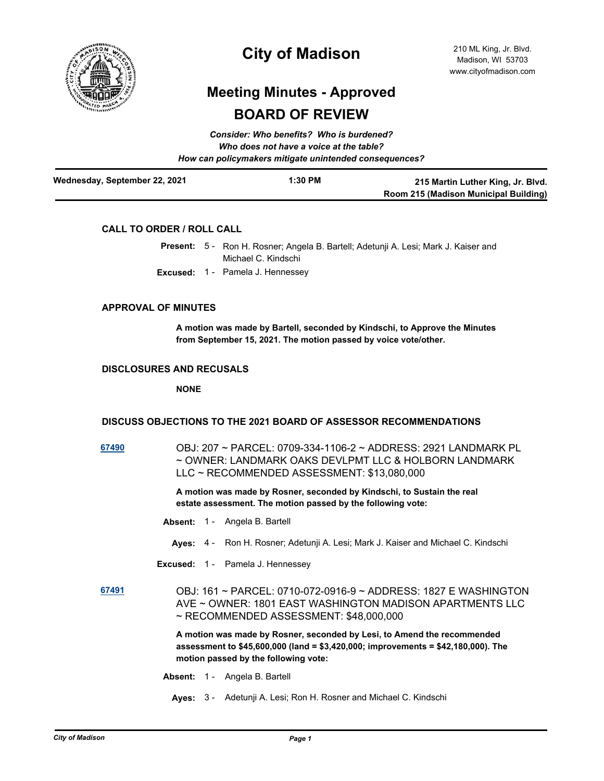

## **City of Madison**

# **Meeting Minutes - Approved BOARD OF REVIEW**

| Consider: Who benefits? Who is burdened?<br>Who does not have a voice at the table?<br>How can policymakers mitigate unintended consequences? |           |                                                                            |  |
|-----------------------------------------------------------------------------------------------------------------------------------------------|-----------|----------------------------------------------------------------------------|--|
| Wednesday, September 22, 2021                                                                                                                 | $1:30$ PM | 215 Martin Luther King, Jr. Blvd.<br>Room 215 (Madison Municipal Building) |  |

### **CALL TO ORDER / ROLL CALL**

|  | Present: 5 - Ron H. Rosner; Angela B. Bartell; Adetunji A. Lesi; Mark J. Kaiser and |
|--|-------------------------------------------------------------------------------------|
|  | Michael C. Kindschi                                                                 |

**Excused:** 1 - Pamela J. Hennessey

#### **APPROVAL OF MINUTES**

**A motion was made by Bartell, seconded by Kindschi, to Approve the Minutes from September 15, 2021. The motion passed by voice vote/other.**

#### **DISCLOSURES AND RECUSALS**

**NONE**

#### **DISCUSS OBJECTIONS TO THE 2021 BOARD OF ASSESSOR RECOMMENDATIONS**

**[67490](http://madison.legistar.com/gateway.aspx?m=l&id=/matter.aspx?key=79387)** OBJ: 207 ~ PARCEL: 0709-334-1106-2 ~ ADDRESS: 2921 LANDMARK PL ~ OWNER: LANDMARK OAKS DEVLPMT LLC & HOLBORN LANDMARK LLC ~ RECOMMENDED ASSESSMENT: \$13,080,000

> **A motion was made by Rosner, seconded by Kindschi, to Sustain the real estate assessment. The motion passed by the following vote:**

- **Absent:** 1 Angela B. Bartell
	- **Ayes:** 4 Ron H. Rosner; Adetunji A. Lesi; Mark J. Kaiser and Michael C. Kindschi
- **Excused:** 1 Pamela J. Hennessey

**[67491](http://madison.legistar.com/gateway.aspx?m=l&id=/matter.aspx?key=79388)** OBJ: 161 ~ PARCEL: 0710-072-0916-9 ~ ADDRESS: 1827 E WASHINGTON AVE ~ OWNER: 1801 EAST WASHINGTON MADISON APARTMENTS LLC ~ RECOMMENDED ASSESSMENT: \$48,000,000

> **A motion was made by Rosner, seconded by Lesi, to Amend the recommended assessment to \$45,600,000 (land = \$3,420,000; improvements = \$42,180,000). The motion passed by the following vote:**

- **Absent:** 1 Angela B. Bartell
	- **Ayes:** 3 Adetunji A. Lesi; Ron H. Rosner and Michael C. Kindschi